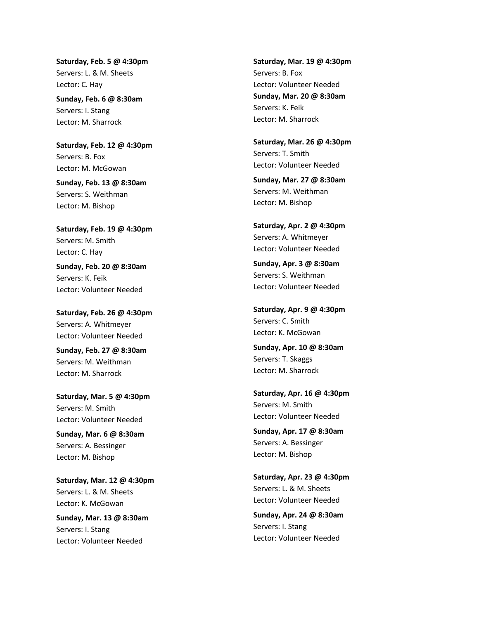**Saturday, Feb. 5 @ 4:30pm** Servers: L. & M. Sheets Lector: C. Hay

**Sunday, Feb. 6 @ 8:30am** Servers: I. Stang Lector: M. Sharrock

**Saturday, Feb. 12 @ 4:30pm** Servers: B. Fox Lector: M. McGowan

**Sunday, Feb. 13 @ 8:30am** Servers: S. Weithman Lector: M. Bishop

**Saturday, Feb. 19 @ 4:30pm** Servers: M. Smith Lector: C. Hay

**Sunday, Feb. 20 @ 8:30am** Servers: K. Feik Lector: Volunteer Needed

**Saturday, Feb. 26 @ 4:30pm** Servers: A. Whitmeyer Lector: Volunteer Needed

**Sunday, Feb. 27 @ 8:30am** Servers: M. Weithman Lector: M. Sharrock

**Saturday, Mar. 5 @ 4:30pm** Servers: M. Smith Lector: Volunteer Needed

**Sunday, Mar. 6 @ 8:30am** Servers: A. Bessinger Lector: M. Bishop

**Saturday, Mar. 12 @ 4:30pm** Servers: L. & M. Sheets Lector: K. McGowan

**Sunday, Mar. 13 @ 8:30am** Servers: I. Stang Lector: Volunteer Needed

**Saturday, Mar. 19 @ 4:30pm** Servers: B. Fox Lector: Volunteer Needed **Sunday, Mar. 20 @ 8:30am** Servers: K. Feik Lector: M. Sharrock

**Saturday, Mar. 26 @ 4:30pm** Servers: T. Smith Lector: Volunteer Needed

**Sunday, Mar. 27 @ 8:30am** Servers: M. Weithman Lector: M. Bishop

**Saturday, Apr. 2 @ 4:30pm** Servers: A. Whitmeyer Lector: Volunteer Needed

**Sunday, Apr. 3 @ 8:30am** Servers: S. Weithman Lector: Volunteer Needed

**Saturday, Apr. 9 @ 4:30pm** Servers: C. Smith Lector: K. McGowan

**Sunday, Apr. 10 @ 8:30am** Servers: T. Skaggs Lector: M. Sharrock

**Saturday, Apr. 16 @ 4:30pm** Servers: M. Smith Lector: Volunteer Needed

**Sunday, Apr. 17 @ 8:30am** Servers: A. Bessinger Lector: M. Bishop

**Saturday, Apr. 23 @ 4:30pm** Servers: L. & M. Sheets Lector: Volunteer Needed

**Sunday, Apr. 24 @ 8:30am** Servers: I. Stang Lector: Volunteer Needed